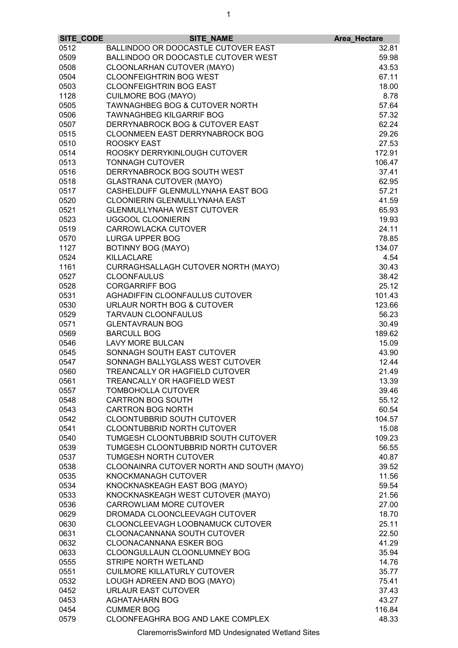|      | SITE_CODE | SITE_NAME                                 | Area_Hectare |
|------|-----------|-------------------------------------------|--------------|
| 0512 |           | BALLINDOO OR DOOCASTLE CUTOVER EAST       | 32.81        |
| 0509 |           | BALLINDOO OR DOOCASTLE CUTOVER WEST       | 59.98        |
| 0508 |           | CLOONLARHAN CUTOVER (MAYO)                | 43.53        |
| 0504 |           | <b>CLOONFEIGHTRIN BOG WEST</b>            | 67.11        |
| 0503 |           | <b>CLOONFEIGHTRIN BOG EAST</b>            | 18.00        |
|      |           |                                           |              |
| 1128 |           | <b>CUILMORE BOG (MAYO)</b>                | 8.78         |
| 0505 |           | TAWNAGHBEG BOG & CUTOVER NORTH            | 57.64        |
| 0506 |           | <b>TAWNAGHBEG KILGARRIF BOG</b>           | 57.32        |
| 0507 |           | DERRYNABROCK BOG & CUTOVER EAST           | 62.24        |
| 0515 |           | <b>CLOONMEEN EAST DERRYNABROCK BOG</b>    | 29.26        |
| 0510 |           | <b>ROOSKY EAST</b>                        | 27.53        |
| 0514 |           | ROOSKY DERRYKINLOUGH CUTOVER              | 172.91       |
| 0513 |           | <b>TONNAGH CUTOVER</b>                    | 106.47       |
| 0516 |           | DERRYNABROCK BOG SOUTH WEST               | 37.41        |
| 0518 |           | <b>GLASTRANA CUTOVER (MAYO)</b>           | 62.95        |
| 0517 |           | CASHELDUFF GLENMULLYNAHA EAST BOG         | 57.21        |
| 0520 |           | CLOONIERIN GLENMULLYNAHA EAST             | 41.59        |
| 0521 |           | <b>GLENMULLYNAHA WEST CUTOVER</b>         | 65.93        |
| 0523 |           | <b>UGGOOL CLOONIERIN</b>                  | 19.93        |
| 0519 |           | CARROWLACKA CUTOVER                       | 24.11        |
|      |           | <b>LURGA UPPER BOG</b>                    |              |
| 0570 |           |                                           | 78.85        |
| 1127 |           | <b>BOTINNY BOG (MAYO)</b>                 | 134.07       |
| 0524 |           | <b>KILLACLARE</b>                         | 4.54         |
| 1161 |           | CURRAGHSALLAGH CUTOVER NORTH (MAYO)       | 30.43        |
| 0527 |           | <b>CLOONFAULUS</b>                        | 38.42        |
| 0528 |           | <b>CORGARRIFF BOG</b>                     | 25.12        |
| 0531 |           | AGHADIFFIN CLOONFAULUS CUTOVER            | 101.43       |
| 0530 |           | URLAUR NORTH BOG & CUTOVER                | 123.66       |
| 0529 |           | <b>TARVAUN CLOONFAULUS</b>                | 56.23        |
| 0571 |           | <b>GLENTAVRAUN BOG</b>                    | 30.49        |
| 0569 |           | <b>BARCULL BOG</b>                        | 189.62       |
| 0546 |           | <b>LAVY MORE BULCAN</b>                   | 15.09        |
| 0545 |           | SONNAGH SOUTH EAST CUTOVER                | 43.90        |
| 0547 |           | SONNAGH BALLYGLASS WEST CUTOVER           | 12.44        |
| 0560 |           | TREANCALLY OR HAGFIELD CUTOVER            | 21.49        |
|      |           |                                           |              |
| 0561 |           | TREANCALLY OR HAGFIELD WEST               | 13.39        |
| 0557 |           | TOMBOHOLLA CUTOVER                        | 39.46        |
| 0548 |           | <b>CARTRON BOG SOUTH</b>                  | 55.12        |
| 0543 |           | <b>CARTRON BOG NORTH</b>                  | 60.54        |
| 0542 |           | <b>CLOONTUBBRID SOUTH CUTOVER</b>         | 104.57       |
| 0541 |           | <b>CLOONTUBBRID NORTH CUTOVER</b>         | 15.08        |
| 0540 |           | TUMGESH CLOONTUBBRID SOUTH CUTOVER        | 109.23       |
| 0539 |           | TUMGESH CLOONTUBBRID NORTH CUTOVER        | 56.55        |
| 0537 |           | <b>TUMGESH NORTH CUTOVER</b>              | 40.87        |
| 0538 |           | CLOONAINRA CUTOVER NORTH AND SOUTH (MAYO) | 39.52        |
| 0535 |           | <b>KNOCKMANAGH CUTOVER</b>                | 11.56        |
| 0534 |           | KNOCKNASKEAGH EAST BOG (MAYO)             | 59.54        |
| 0533 |           | KNOCKNASKEAGH WEST CUTOVER (MAYO)         | 21.56        |
| 0536 |           | CARROWLIAM MORE CUTOVER                   | 27.00        |
| 0629 |           | DROMADA CLOONCLEEVAGH CUTOVER             | 18.70        |
| 0630 |           | CLOONCLEEVAGH LOOBNAMUCK CUTOVER          | 25.11        |
|      |           | CLOONACANNANA SOUTH CUTOVER               |              |
| 0631 |           |                                           | 22.50        |
| 0632 |           | <b>CLOONACANNANA ESKER BOG</b>            | 41.29        |
| 0633 |           | CLOONGULLAUN CLOONLUMNEY BOG              | 35.94        |
| 0555 |           | STRIPE NORTH WETLAND                      | 14.76        |
| 0551 |           | <b>CUILMORE KILLATURLY CUTOVER</b>        | 35.77        |
| 0532 |           | LOUGH ADREEN AND BOG (MAYO)               | 75.41        |
| 0452 |           | URLAUR EAST CUTOVER                       | 37.43        |
| 0453 |           | <b>AGHATAHARN BOG</b>                     | 43.27        |
| 0454 |           | <b>CUMMER BOG</b>                         | 116.84       |
| 0579 |           | CLOONFEAGHRA BOG AND LAKE COMPLEX         | 48.33        |
|      |           |                                           |              |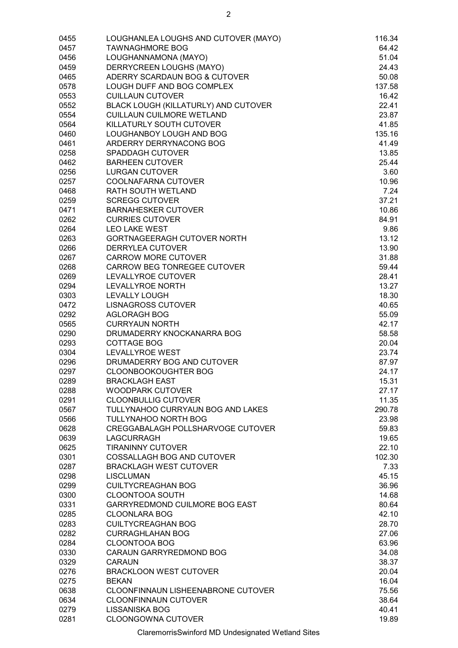| 0455 | LOUGHANLEA LOUGHS AND CUTOVER (MAYO) | 116.34 |
|------|--------------------------------------|--------|
| 0457 | <b>TAWNAGHMORE BOG</b>               | 64.42  |
| 0456 | LOUGHANNAMONA (MAYO)                 | 51.04  |
| 0459 | DERRYCREEN LOUGHS (MAYO)             | 24.43  |
| 0465 | ADERRY SCARDAUN BOG & CUTOVER        | 50.08  |
| 0578 | LOUGH DUFF AND BOG COMPLEX           | 137.58 |
| 0553 | <b>CUILLAUN CUTOVER</b>              | 16.42  |
| 0552 | BLACK LOUGH (KILLATURLY) AND CUTOVER | 22.41  |
| 0554 | <b>CUILLAUN CUILMORE WETLAND</b>     | 23.87  |
| 0564 | KILLATURLY SOUTH CUTOVER             | 41.85  |
| 0460 | LOUGHANBOY LOUGH AND BOG             | 135.16 |
| 0461 | ARDERRY DERRYNACONG BOG              | 41.49  |
| 0258 | <b>SPADDAGH CUTOVER</b>              | 13.85  |
| 0462 | <b>BARHEEN CUTOVER</b>               | 25.44  |
| 0256 | <b>LURGAN CUTOVER</b>                | 3.60   |
| 0257 | COOLNAFARNA CUTOVER                  | 10.96  |
| 0468 | RATH SOUTH WETLAND                   | 7.24   |
| 0259 | <b>SCREGG CUTOVER</b>                | 37.21  |
| 0471 | <b>BARNAHESKER CUTOVER</b>           | 10.86  |
| 0262 | <b>CURRIES CUTOVER</b>               | 84.91  |
| 0264 | <b>LEO LAKE WEST</b>                 | 9.86   |
| 0263 | GORTNAGEERAGH CUTOVER NORTH          | 13.12  |
| 0266 | <b>DERRYLEA CUTOVER</b>              | 13.90  |
| 0267 | <b>CARROW MORE CUTOVER</b>           | 31.88  |
| 0268 | CARROW BEG TONREGEE CUTOVER          | 59.44  |
| 0269 | LEVALLYROE CUTOVER                   | 28.41  |
| 0294 | LEVALLYROE NORTH                     | 13.27  |
| 0303 | <b>LEVALLY LOUGH</b>                 | 18.30  |
| 0472 | <b>LISNAGROSS CUTOVER</b>            | 40.65  |
| 0292 | <b>AGLORAGH BOG</b>                  | 55.09  |
| 0565 | <b>CURRYAUN NORTH</b>                | 42.17  |
| 0290 | DRUMADERRY KNOCKANARRA BOG           | 58.58  |
| 0293 | <b>COTTAGE BOG</b>                   | 20.04  |
| 0304 | <b>LEVALLYROE WEST</b>               | 23.74  |
| 0296 | DRUMADERRY BOG AND CUTOVER           | 87.97  |
| 0297 | <b>CLOONBOOKOUGHTER BOG</b>          | 24.17  |
| 0289 | <b>BRACKLAGH EAST</b>                | 15.31  |
| 0288 | <b>WOODPARK CUTOVER</b>              | 27.17  |
| 0291 | <b>CLOONBULLIG CUTOVER</b>           | 11.35  |
| 0567 | TULLYNAHOO CURRYAUN BOG AND LAKES    | 290.78 |
| 0566 | TULLYNAHOO NORTH BOG                 | 23.98  |
| 0628 | CREGGABALAGH POLLSHARVOGE CUTOVER    | 59.83  |
| 0639 | <b>LAGCURRAGH</b>                    | 19.65  |
| 0625 | <b>TIRANINNY CUTOVER</b>             | 22.10  |
| 0301 | COSSALLAGH BOG AND CUTOVER           | 102.30 |
| 0287 | <b>BRACKLAGH WEST CUTOVER</b>        | 7.33   |
| 0298 | <b>LISCLUMAN</b>                     | 45.15  |
| 0299 | <b>CUILTYCREAGHAN BOG</b>            | 36.96  |
| 0300 | <b>CLOONTOOA SOUTH</b>               | 14.68  |
| 0331 | GARRYREDMOND CUILMORE BOG EAST       | 80.64  |
| 0285 | <b>CLOONLARA BOG</b>                 | 42.10  |
| 0283 | <b>CUILTYCREAGHAN BOG</b>            | 28.70  |
| 0282 | <b>CURRAGHLAHAN BOG</b>              | 27.06  |
| 0284 | <b>CLOONTOOA BOG</b>                 | 63.96  |
| 0330 | CARAUN GARRYREDMOND BOG              | 34.08  |
| 0329 | <b>CARAUN</b>                        | 38.37  |
| 0276 | <b>BRACKLOON WEST CUTOVER</b>        | 20.04  |
| 0275 | <b>BEKAN</b>                         | 16.04  |
| 0638 | CLOONFINNAUN LISHEENABRONE CUTOVER   | 75.56  |
| 0634 | <b>CLOONFINNAUN CUTOVER</b>          | 38.64  |
| 0279 | <b>LISSANISKA BOG</b>                | 40.41  |
| 0281 | <b>CLOONGOWNA CUTOVER</b>            | 19.89  |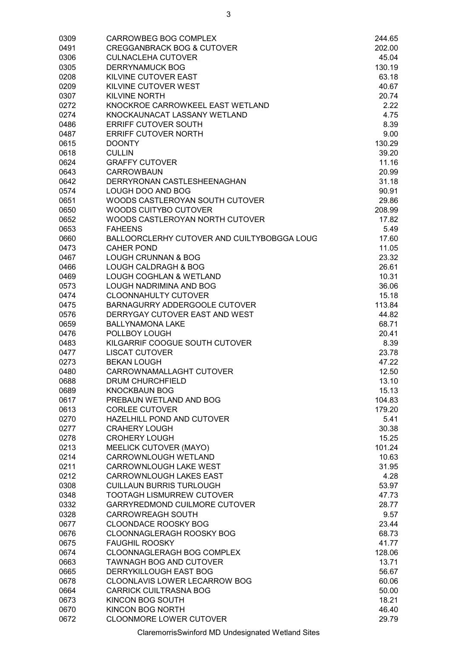| 0309 | CARROWBEG BOG COMPLEX                       | 244.65 |
|------|---------------------------------------------|--------|
| 0491 | <b>CREGGANBRACK BOG &amp; CUTOVER</b>       | 202.00 |
| 0306 | <b>CULNACLEHA CUTOVER</b>                   | 45.04  |
| 0305 | <b>DERRYNAMUCK BOG</b>                      | 130.19 |
| 0208 | KILVINE CUTOVER EAST                        | 63.18  |
| 0209 | KILVINE CUTOVER WEST                        | 40.67  |
| 0307 | <b>KILVINE NORTH</b>                        | 20.74  |
| 0272 | KNOCKROE CARROWKEEL EAST WETLAND            | 2.22   |
| 0274 | KNOCKAUNACAT LASSANY WETLAND                | 4.75   |
| 0486 | <b>ERRIFF CUTOVER SOUTH</b>                 | 8.39   |
| 0487 | <b>ERRIFF CUTOVER NORTH</b>                 | 9.00   |
| 0615 | <b>DOONTY</b>                               | 130.29 |
| 0618 | <b>CULLIN</b>                               | 39.20  |
| 0624 | <b>GRAFFY CUTOVER</b>                       | 11.16  |
| 0643 | <b>CARROWBAUN</b>                           | 20.99  |
| 0642 | DERRYRONAN CASTLESHEENAGHAN                 | 31.18  |
| 0574 | LOUGH DOO AND BOG                           | 90.91  |
| 0651 | WOODS CASTLEROYAN SOUTH CUTOVER             | 29.86  |
| 0650 | WOODS CUITYBO CUTOVER                       | 208.99 |
| 0652 | WOODS CASTLEROYAN NORTH CUTOVER             | 17.82  |
| 0653 | <b>FAHEENS</b>                              | 5.49   |
| 0660 | BALLOORCLERHY CUTOVER AND CUILTYBOBGGA LOUG | 17.60  |
| 0473 | <b>CAHER POND</b>                           | 11.05  |
| 0467 | <b>LOUGH CRUNNAN &amp; BOG</b>              | 23.32  |
| 0466 | <b>LOUGH CALDRAGH &amp; BOG</b>             | 26.61  |
| 0469 | <b>LOUGH COGHLAN &amp; WETLAND</b>          | 10.31  |
| 0573 | LOUGH NADRIMINA AND BOG                     | 36.06  |
| 0474 | <b>CLOONNAHULTY CUTOVER</b>                 | 15.18  |
| 0475 | BARNAGURRY ADDERGOOLE CUTOVER               | 113.84 |
| 0576 | DERRYGAY CUTOVER EAST AND WEST              | 44.82  |
| 0659 | <b>BALLYNAMONA LAKE</b>                     | 68.71  |
| 0476 | POLLBOY LOUGH                               | 20.41  |
| 0483 | KILGARRIF COOGUE SOUTH CUTOVER              | 8.39   |
| 0477 | <b>LISCAT CUTOVER</b>                       | 23.78  |
| 0273 | <b>BEKAN LOUGH</b>                          | 47.22  |
| 0480 | CARROWNAMALLAGHT CUTOVER                    | 12.50  |
| 0688 | <b>DRUM CHURCHFIELD</b>                     | 13.10  |
| 0689 | <b>KNOCKBAUN BOG</b>                        | 15.13  |
| 0617 | PREBAUN WETLAND AND BOG                     | 104.83 |
| 0613 | <b>CORLEE CUTOVER</b>                       | 179.20 |
| 0270 | HAZELHILL POND AND CUTOVER                  | 5.41   |
| 0277 | <b>CRAHERY LOUGH</b>                        | 30.38  |
| 0278 | <b>CROHERY LOUGH</b>                        | 15.25  |
| 0213 | MEELICK CUTOVER (MAYO)                      | 101.24 |
| 0214 | CARROWNLOUGH WETLAND                        | 10.63  |
| 0211 | CARROWNLOUGH LAKE WEST                      | 31.95  |
| 0212 | CARROWNLOUGH LAKES EAST                     | 4.28   |
| 0308 | <b>CUILLAUN BURRIS TURLOUGH</b>             | 53.97  |
| 0348 | <b>TOOTAGH LISMURREW CUTOVER</b>            | 47.73  |
| 0332 | GARRYREDMOND CUILMORE CUTOVER               | 28.77  |
| 0328 | <b>CARROWREAGH SOUTH</b>                    | 9.57   |
| 0677 | <b>CLOONDACE ROOSKY BOG</b>                 | 23.44  |
| 0676 | CLOONNAGLERAGH ROOSKY BOG                   | 68.73  |
| 0675 | <b>FAUGHIL ROOSKY</b>                       | 41.77  |
| 0674 | CLOONNAGLERAGH BOG COMPLEX                  | 128.06 |
| 0663 | <b>TAWNAGH BOG AND CUTOVER</b>              | 13.71  |
| 0665 | DERRYKILLOUGH EAST BOG                      | 56.67  |
| 0678 | CLOONLAVIS LOWER LECARROW BOG               | 60.06  |
| 0664 | <b>CARRICK CUILTRASNA BOG</b>               | 50.00  |
| 0673 | KINCON BOG SOUTH                            | 18.21  |
| 0670 | KINCON BOG NORTH                            | 46.40  |
| 0672 | <b>CLOONMORE LOWER CUTOVER</b>              | 29.79  |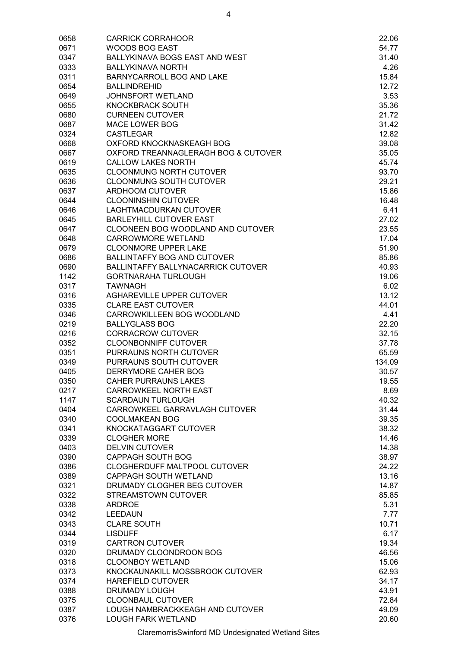| 0658         | <b>CARRICK CORRAHOOR</b>                          | 22.06          |
|--------------|---------------------------------------------------|----------------|
| 0671         | <b>WOODS BOG EAST</b>                             | 54.77          |
| 0347         | BALLYKINAVA BOGS EAST AND WEST                    | 31.40          |
| 0333         | <b>BALLYKINAVA NORTH</b>                          | 4.26           |
| 0311         | <b>BARNYCARROLL BOG AND LAKE</b>                  | 15.84          |
| 0654         | <b>BALLINDREHID</b>                               | 12.72          |
| 0649         | JOHNSFORT WETLAND                                 | 3.53           |
| 0655         | <b>KNOCKBRACK SOUTH</b>                           | 35.36          |
| 0680         | <b>CURNEEN CUTOVER</b>                            | 21.72          |
| 0687         | <b>MACE LOWER BOG</b>                             | 31.42          |
| 0324         | <b>CASTLEGAR</b>                                  | 12.82          |
| 0668         | OXFORD KNOCKNASKEAGH BOG                          | 39.08          |
| 0667         | OXFORD TREANNAGLERAGH BOG & CUTOVER               | 35.05          |
| 0619         | <b>CALLOW LAKES NORTH</b>                         | 45.74          |
| 0635         | <b>CLOONMUNG NORTH CUTOVER</b>                    | 93.70          |
| 0636         | <b>CLOONMUNG SOUTH CUTOVER</b>                    | 29.21          |
| 0637         | <b>ARDHOOM CUTOVER</b>                            | 15.86          |
| 0644         | <b>CLOONINSHIN CUTOVER</b>                        | 16.48          |
| 0646         | <b>LAGHTMACDURKAN CUTOVER</b>                     | 6.41           |
| 0645         | <b>BARLEYHILL CUTOVER EAST</b>                    | 27.02          |
| 0647         | CLOONEEN BOG WOODLAND AND CUTOVER                 | 23.55          |
| 0648         | <b>CARROWMORE WETLAND</b>                         | 17.04          |
| 0679         | <b>CLOONMORE UPPER LAKE</b>                       | 51.90          |
| 0686         | <b>BALLINTAFFY BOG AND CUTOVER</b>                | 85.86          |
| 0690         | BALLINTAFFY BALLYNACARRICK CUTOVER                | 40.93          |
| 1142         | <b>GORTNARAHA TURLOUGH</b>                        | 19.06          |
| 0317         | <b>TAWNAGH</b>                                    | 6.02           |
| 0316         | <b>AGHAREVILLE UPPER CUTOVER</b>                  | 13.12          |
| 0335         | <b>CLARE EAST CUTOVER</b>                         | 44.01          |
| 0346         | CARROWKILLEEN BOG WOODLAND                        | 4.41           |
| 0219         | <b>BALLYGLASS BOG</b>                             | 22.20          |
| 0216         | <b>CORRACROW CUTOVER</b>                          | 32.15          |
| 0352         | <b>CLOONBONNIFF CUTOVER</b>                       | 37.78          |
| 0351         | PURRAUNS NORTH CUTOVER                            | 65.59          |
| 0349         | PURRAUNS SOUTH CUTOVER                            | 134.09         |
| 0405         | DERRYMORE CAHER BOG                               | 30.57          |
| 0350         | <b>CAHER PURRAUNS LAKES</b>                       | 19.55          |
| 0217         | CARROWKEEL NORTH EAST                             | 8.69           |
| 1147         | <b>SCARDAUN TURLOUGH</b>                          | 40.32          |
| 0404         | CARROWKEEL GARRAVLAGH CUTOVER                     | 31.44          |
| 0340         | <b>COOLMAKEAN BOG</b>                             | 39.35          |
| 0341         | KNOCKATAGGART CUTOVER                             | 38.32          |
| 0339         | <b>CLOGHER MORE</b>                               | 14.46          |
| 0403         | <b>DELVIN CUTOVER</b>                             | 14.38          |
| 0390         | <b>CAPPAGH SOUTH BOG</b>                          | 38.97          |
| 0386         | CLOGHERDUFF MALTPOOL CUTOVER                      | 24.22          |
| 0389         | <b>CAPPAGH SOUTH WETLAND</b>                      | 13.16          |
| 0321         | DRUMADY CLOGHER BEG CUTOVER                       | 14.87          |
| 0322         | STREAMSTOWN CUTOVER                               | 85.85          |
| 0338         | <b>ARDROE</b>                                     | 5.31           |
| 0342         | <b>LEEDAUN</b>                                    | 7.77           |
| 0343<br>0344 | <b>CLARE SOUTH</b><br><b>LISDUFF</b>              | 10.71<br>6.17  |
| 0319         | <b>CARTRON CUTOVER</b>                            | 19.34          |
|              |                                                   |                |
| 0320         | DRUMADY CLOONDROON BOG<br><b>CLOONBOY WETLAND</b> | 46.56<br>15.06 |
| 0318         | KNOCKAUNAKILL MOSSBROOK CUTOVER                   | 62.93          |
| 0373<br>0374 | HAREFIELD CUTOVER                                 | 34.17          |
| 0388         | <b>DRUMADY LOUGH</b>                              | 43.91          |
| 0375         | <b>CLOONBAUL CUTOVER</b>                          | 72.84          |
| 0387         | LOUGH NAMBRACKKEAGH AND CUTOVER                   | 49.09          |
| 0376         | <b>LOUGH FARK WETLAND</b>                         | 20.60          |
|              |                                                   |                |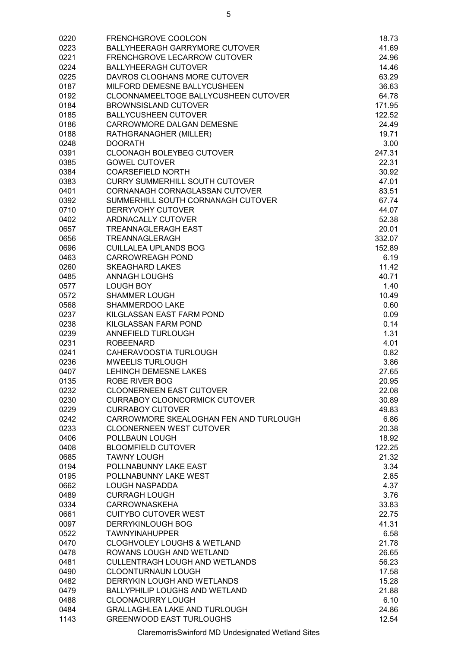| 0220 | <b>FRENCHGROVE COOLCON</b>             | 18.73  |
|------|----------------------------------------|--------|
| 0223 | BALLYHEERAGH GARRYMORE CUTOVER         | 41.69  |
| 0221 | <b>FRENCHGROVE LECARROW CUTOVER</b>    | 24.96  |
| 0224 | <b>BALLYHEERAGH CUTOVER</b>            | 14.46  |
| 0225 | DAVROS CLOGHANS MORE CUTOVER           | 63.29  |
| 0187 | MILFORD DEMESNE BALLYCUSHEEN           | 36.63  |
| 0192 | CLOONNAMEELTOGE BALLYCUSHEEN CUTOVER   | 64.78  |
| 0184 | <b>BROWNSISLAND CUTOVER</b>            | 171.95 |
| 0185 | <b>BALLYCUSHEEN CUTOVER</b>            | 122.52 |
| 0186 | CARROWMORE DALGAN DEMESNE              | 24.49  |
| 0188 | RATHGRANAGHER (MILLER)                 | 19.71  |
| 0248 | <b>DOORATH</b>                         | 3.00   |
| 0391 | CLOONAGH BOLEYBEG CUTOVER              | 247.31 |
| 0385 | <b>GOWEL CUTOVER</b>                   | 22.31  |
| 0384 | <b>COARSEFIELD NORTH</b>               | 30.92  |
| 0383 | <b>CURRY SUMMERHILL SOUTH CUTOVER</b>  | 47.01  |
| 0401 | CORNANAGH CORNAGLASSAN CUTOVER         | 83.51  |
| 0392 | SUMMERHILL SOUTH CORNANAGH CUTOVER     | 67.74  |
| 0710 | <b>DERRYVOHY CUTOVER</b>               | 44.07  |
| 0402 | <b>ARDNACALLY CUTOVER</b>              | 52.38  |
| 0657 | <b>TREANNAGLERAGH EAST</b>             | 20.01  |
| 0656 | TREANNAGLERAGH                         | 332.07 |
| 0696 | <b>CUILLALEA UPLANDS BOG</b>           | 152.89 |
|      |                                        | 6.19   |
| 0463 | <b>CARROWREAGH POND</b>                |        |
| 0260 | <b>SKEAGHARD LAKES</b>                 | 11.42  |
| 0485 | <b>ANNAGH LOUGHS</b>                   | 40.71  |
| 0577 | <b>LOUGH BOY</b>                       | 1.40   |
| 0572 | <b>SHAMMER LOUGH</b>                   | 10.49  |
| 0568 | SHAMMERDOO LAKE                        | 0.60   |
| 0237 | KILGLASSAN EAST FARM POND              | 0.09   |
| 0238 | KILGLASSAN FARM POND                   | 0.14   |
| 0239 | ANNEFIELD TURLOUGH                     | 1.31   |
| 0231 | <b>ROBEENARD</b>                       | 4.01   |
| 0241 | CAHERAVOOSTIA TURLOUGH                 | 0.82   |
| 0236 | <b>MWEELIS TURLOUGH</b>                | 3.86   |
| 0407 | <b>LEHINCH DEMESNE LAKES</b>           | 27.65  |
| 0135 | ROBE RIVER BOG                         | 20.95  |
| 0232 | <b>CLOONERNEEN EAST CUTOVER</b>        | 22.08  |
| 0230 | <b>CURRABOY CLOONCORMICK CUTOVER</b>   | 30.89  |
| 0229 | <b>CURRABOY CUTOVER</b>                | 49.83  |
| 0242 | CARROWMORE SKEALOGHAN FEN AND TURLOUGH | 6.86   |
| 0233 | <b>CLOONERNEEN WEST CUTOVER</b>        | 20.38  |
| 0406 | POLLBAUN LOUGH                         | 18.92  |
| 0408 | <b>BLOOMFIELD CUTOVER</b>              | 122.25 |
| 0685 | <b>TAWNY LOUGH</b>                     | 21.32  |
| 0194 | POLLNABUNNY LAKE EAST                  | 3.34   |
| 0195 | POLLNABUNNY LAKE WEST                  | 2.85   |
| 0662 | <b>LOUGH NASPADDA</b>                  | 4.37   |
| 0489 | <b>CURRAGH LOUGH</b>                   | 3.76   |
| 0334 | <b>CARROWNASKEHA</b>                   | 33.83  |
| 0661 | <b>CUITYBO CUTOVER WEST</b>            | 22.75  |
| 0097 | <b>DERRYKINLOUGH BOG</b>               | 41.31  |
| 0522 | <b>TAWNYINAHUPPER</b>                  | 6.58   |
| 0470 | <b>CLOGHVOLEY LOUGHS &amp; WETLAND</b> | 21.78  |
| 0478 | ROWANS LOUGH AND WETLAND               | 26.65  |
| 0481 | <b>CULLENTRAGH LOUGH AND WETLANDS</b>  | 56.23  |
| 0490 | <b>CLOONTURNAUN LOUGH</b>              |        |
|      |                                        | 17.58  |
| 0482 | DERRYKIN LOUGH AND WETLANDS            | 15.28  |
| 0479 | <b>BALLYPHILIP LOUGHS AND WETLAND</b>  | 21.88  |
| 0488 | CLOONACURRY LOUGH                      | 6.10   |
| 0484 | GRALLAGHLEA LAKE AND TURLOUGH          | 24.86  |
| 1143 | <b>GREENWOOD EAST TURLOUGHS</b>        | 12.54  |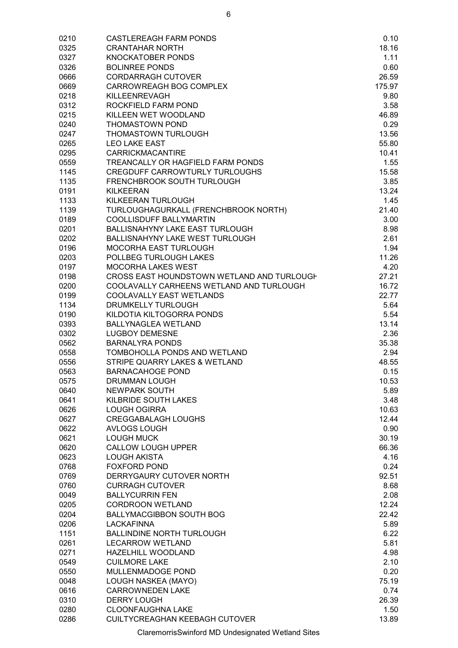| 0210 | <b>CASTLEREAGH FARM PONDS</b>              | 0.10   |
|------|--------------------------------------------|--------|
| 0325 | <b>CRANTAHAR NORTH</b>                     | 18.16  |
| 0327 | <b>KNOCKATOBER PONDS</b>                   | 1.11   |
| 0326 | <b>BOLINREE PONDS</b>                      | 0.60   |
| 0666 | <b>CORDARRAGH CUTOVER</b>                  | 26.59  |
| 0669 | CARROWREAGH BOG COMPLEX                    | 175.97 |
| 0218 | KILLEENREVAGH                              | 9.80   |
| 0312 | ROCKFIELD FARM POND                        | 3.58   |
| 0215 | KILLEEN WET WOODLAND                       | 46.89  |
| 0240 | THOMASTOWN POND                            | 0.29   |
| 0247 | <b>THOMASTOWN TURLOUGH</b>                 | 13.56  |
| 0265 | <b>LEO LAKE EAST</b>                       | 55.80  |
| 0295 | <b>CARRICKMACANTIRE</b>                    | 10.41  |
| 0559 | TREANCALLY OR HAGFIELD FARM PONDS          | 1.55   |
| 1145 | <b>CREGDUFF CARROWTURLY TURLOUGHS</b>      | 15.58  |
| 1135 | FRENCHBROOK SOUTH TURLOUGH                 | 3.85   |
| 0191 | <b>KILKEERAN</b>                           | 13.24  |
| 1133 | KILKEERAN TURLOUGH                         | 1.45   |
| 1139 | TURLOUGHAGURKALL (FRENCHBROOK NORTH)       | 21.40  |
| 0189 | COOLLISDUFF BALLYMARTIN                    | 3.00   |
| 0201 | <b>BALLISNAHYNY LAKE EAST TURLOUGH</b>     | 8.98   |
| 0202 | <b>BALLISNAHYNY LAKE WEST TURLOUGH</b>     | 2.61   |
| 0196 | <b>MOCORHA EAST TURLOUGH</b>               | 1.94   |
| 0203 | POLLBEG TURLOUGH LAKES                     | 11.26  |
| 0197 | <b>MOCORHA LAKES WEST</b>                  | 4.20   |
| 0198 | CROSS EAST HOUNDSTOWN WETLAND AND TURLOUGH | 27.21  |
| 0200 | COOLAVALLY CARHEENS WETLAND AND TURLOUGH   | 16.72  |
| 0199 | <b>COOLAVALLY EAST WETLANDS</b>            | 22.77  |
| 1134 | <b>DRUMKELLY TURLOUGH</b>                  | 5.64   |
| 0190 | KILDOTIA KILTOGORRA PONDS                  | 5.54   |
|      |                                            |        |
| 0393 | <b>BALLYNAGLEA WETLAND</b>                 | 13.14  |
| 0302 | <b>LUGBOY DEMESNE</b>                      | 2.36   |
| 0562 | <b>BARNALYRA PONDS</b>                     | 35.38  |
| 0558 | TOMBOHOLLA PONDS AND WETLAND               | 2.94   |
| 0556 | STRIPE QUARRY LAKES & WETLAND              | 48.55  |
| 0563 | <b>BARNACAHOGE POND</b>                    | 0.15   |
| 0575 | DRUMMAN LOUGH                              | 10.53  |
| 0640 | <b>NEWPARK SOUTH</b>                       | 5.89   |
| 0641 | KILBRIDE SOUTH LAKES                       | 3.48   |
| 0626 | <b>LOUGH OGIRRA</b>                        | 10.63  |
| 0627 | <b>CREGGABALAGH LOUGHS</b>                 | 12.44  |
| 0622 | <b>AVLOGS LOUGH</b>                        | 0.90   |
| 0621 | <b>LOUGH MUCK</b>                          | 30.19  |
| 0620 | <b>CALLOW LOUGH UPPER</b>                  | 66.36  |
| 0623 | <b>LOUGH AKISTA</b>                        | 4.16   |
| 0768 | <b>FOXFORD POND</b>                        | 0.24   |
| 0769 | DERRYGAURY CUTOVER NORTH                   | 92.51  |
| 0760 | <b>CURRAGH CUTOVER</b>                     | 8.68   |
| 0049 | <b>BALLYCURRIN FEN</b>                     | 2.08   |
| 0205 | <b>CORDROON WETLAND</b>                    | 12.24  |
| 0204 | <b>BALLYMACGIBBON SOUTH BOG</b>            | 22.42  |
| 0206 | <b>LACKAFINNA</b>                          | 5.89   |
| 1151 | <b>BALLINDINE NORTH TURLOUGH</b>           | 6.22   |
| 0261 | <b>LECARROW WETLAND</b>                    | 5.81   |
| 0271 | HAZELHILL WOODLAND                         | 4.98   |
| 0549 | <b>CUILMORE LAKE</b>                       | 2.10   |
| 0550 | MULLENMADOGE POND                          | 0.20   |
| 0048 | LOUGH NASKEA (MAYO)                        | 75.19  |
| 0616 | <b>CARROWNEDEN LAKE</b>                    | 0.74   |
| 0310 | <b>DERRY LOUGH</b>                         | 26.39  |
| 0280 | CLOONFAUGHNA LAKE                          | 1.50   |
| 0286 | CUILTYCREAGHAN KEEBAGH CUTOVER             | 13.89  |